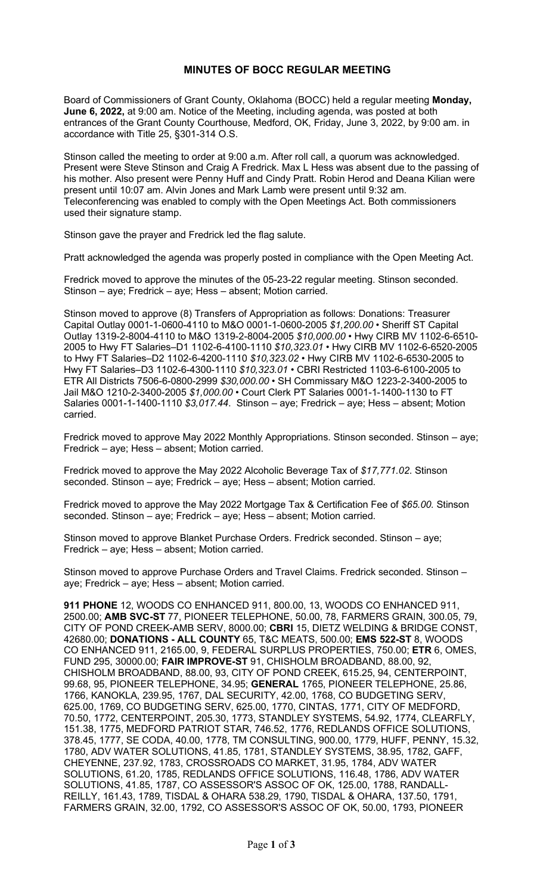## **MINUTES OF BOCC REGULAR MEETING**

Board of Commissioners of Grant County, Oklahoma (BOCC) held a regular meeting **Monday, June 6, 2022,** at 9:00 am. Notice of the Meeting, including agenda, was posted at both entrances of the Grant County Courthouse, Medford, OK, Friday, June 3, 2022, by 9:00 am. in accordance with Title 25, §301-314 O.S.

Stinson called the meeting to order at 9:00 a.m. After roll call, a quorum was acknowledged. Present were Steve Stinson and Craig A Fredrick. Max L Hess was absent due to the passing of his mother. Also present were Penny Huff and Cindy Pratt. Robin Herod and Deana Kilian were present until 10:07 am. Alvin Jones and Mark Lamb were present until 9:32 am. Teleconferencing was enabled to comply with the Open Meetings Act. Both commissioners used their signature stamp.

Stinson gave the prayer and Fredrick led the flag salute.

Pratt acknowledged the agenda was properly posted in compliance with the Open Meeting Act.

Fredrick moved to approve the minutes of the 05-23-22 regular meeting. Stinson seconded. Stinson – aye; Fredrick – aye; Hess – absent; Motion carried.

Stinson moved to approve (8) Transfers of Appropriation as follows: Donations: Treasurer Capital Outlay 0001-1-0600-4110 to M&O 0001-1-0600-2005 *\$1,200.00* • Sheriff ST Capital Outlay 1319-2-8004-4110 to M&O 1319-2-8004-2005 *\$10,000.00* • Hwy CIRB MV 1102-6-6510- 2005 to Hwy FT Salaries–D1 1102-6-4100-1110 *\$10,323.01* • Hwy CIRB MV 1102-6-6520-2005 to Hwy FT Salaries–D2 1102-6-4200-1110 *\$10,323.02* • Hwy CIRB MV 1102-6-6530-2005 to Hwy FT Salaries–D3 1102-6-4300-1110 *\$10,323.01* • CBRI Restricted 1103-6-6100-2005 to ETR All Districts 7506-6-0800-2999 *\$30,000.00* • SH Commissary M&O 1223-2-3400-2005 to Jail M&O 1210-2-3400-2005 *\$1,000.00* • Court Clerk PT Salaries 0001-1-1400-1130 to FT Salaries 0001-1-1400-1110 *\$3,017.44*. Stinson – aye; Fredrick – aye; Hess – absent; Motion carried.

Fredrick moved to approve May 2022 Monthly Appropriations. Stinson seconded. Stinson – aye; Fredrick – aye; Hess – absent; Motion carried.

Fredrick moved to approve the May 2022 Alcoholic Beverage Tax of *\$17,771.02*. Stinson seconded. Stinson – aye; Fredrick – aye; Hess – absent; Motion carried.

Fredrick moved to approve the May 2022 Mortgage Tax & Certification Fee of *\$65.00.* Stinson seconded. Stinson – aye; Fredrick – aye; Hess – absent; Motion carried.

Stinson moved to approve Blanket Purchase Orders. Fredrick seconded. Stinson – aye; Fredrick – aye; Hess – absent; Motion carried.

Stinson moved to approve Purchase Orders and Travel Claims. Fredrick seconded. Stinson – aye; Fredrick – aye; Hess – absent; Motion carried.

**911 PHONE** 12, WOODS CO ENHANCED 911, 800.00, 13, WOODS CO ENHANCED 911, 2500.00; **AMB SVC-ST** 77, PIONEER TELEPHONE, 50.00, 78, FARMERS GRAIN, 300.05, 79, CITY OF POND CREEK-AMB SERV, 8000.00; **CBRI** 15, DIETZ WELDING & BRIDGE CONST, 42680.00; **DONATIONS - ALL COUNTY** 65, T&C MEATS, 500.00; **EMS 522-ST** 8, WOODS CO ENHANCED 911, 2165.00, 9, FEDERAL SURPLUS PROPERTIES, 750.00; **ETR** 6, OMES, FUND 295, 30000.00; **FAIR IMPROVE-ST** 91, CHISHOLM BROADBAND, 88.00, 92, CHISHOLM BROADBAND, 88.00, 93, CITY OF POND CREEK, 615.25, 94, CENTERPOINT, 99.68, 95, PIONEER TELEPHONE, 34.95; **GENERAL** 1765, PIONEER TELEPHONE, 25.86, 1766, KANOKLA, 239.95, 1767, DAL SECURITY, 42.00, 1768, CO BUDGETING SERV, 625.00, 1769, CO BUDGETING SERV, 625.00, 1770, CINTAS, 1771, CITY OF MEDFORD, 70.50, 1772, CENTERPOINT, 205.30, 1773, STANDLEY SYSTEMS, 54.92, 1774, CLEARFLY, 151.38, 1775, MEDFORD PATRIOT STAR, 746.52, 1776, REDLANDS OFFICE SOLUTIONS, 378.45, 1777, SE CODA, 40.00, 1778, TM CONSULTING, 900.00, 1779, HUFF, PENNY, 15.32, 1780, ADV WATER SOLUTIONS, 41.85, 1781, STANDLEY SYSTEMS, 38.95, 1782, GAFF, CHEYENNE, 237.92, 1783, CROSSROADS CO MARKET, 31.95, 1784, ADV WATER SOLUTIONS, 61.20, 1785, REDLANDS OFFICE SOLUTIONS, 116.48, 1786, ADV WATER SOLUTIONS, 41.85, 1787, CO ASSESSOR'S ASSOC OF OK, 125.00, 1788, RANDALL-REILLY, 161.43, 1789, TISDAL & OHARA 538.29, 1790, TISDAL & OHARA, 137.50, 1791, FARMERS GRAIN, 32.00, 1792, CO ASSESSOR'S ASSOC OF OK, 50.00, 1793, PIONEER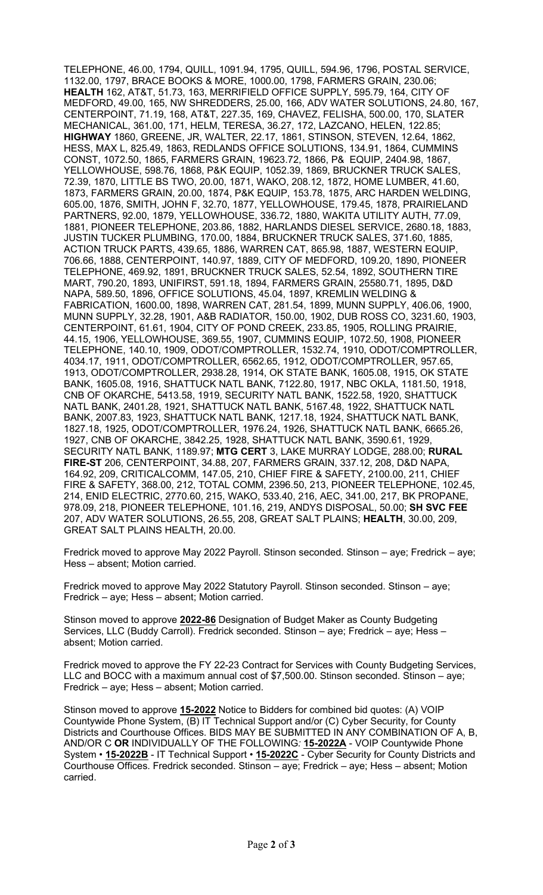TELEPHONE, 46.00, 1794, QUILL, 1091.94, 1795, QUILL, 594.96, 1796, POSTAL SERVICE, 1132.00, 1797, BRACE BOOKS & MORE, 1000.00, 1798, FARMERS GRAIN, 230.06; **HEALTH** 162, AT&T, 51.73, 163, MERRIFIELD OFFICE SUPPLY, 595.79, 164, CITY OF MEDFORD, 49.00, 165, NW SHREDDERS, 25.00, 166, ADV WATER SOLUTIONS, 24.80, 167, CENTERPOINT, 71.19, 168, AT&T, 227.35, 169, CHAVEZ, FELISHA, 500.00, 170, SLATER MECHANICAL, 361.00, 171, HELM, TERESA, 36.27, 172, LAZCANO, HELEN, 122.85; **HIGHWAY** 1860, GREENE, JR, WALTER, 22.17, 1861, STINSON, STEVEN, 12.64, 1862, HESS, MAX L, 825.49, 1863, REDLANDS OFFICE SOLUTIONS, 134.91, 1864, CUMMINS CONST, 1072.50, 1865, FARMERS GRAIN, 19623.72, 1866, P& EQUIP, 2404.98, 1867, YELLOWHOUSE, 598.76, 1868, P&K EQUIP, 1052.39, 1869, BRUCKNER TRUCK SALES, 72.39, 1870, LITTLE BS TWO, 20.00, 1871, WAKO, 208.12, 1872, HOME LUMBER, 41.60, 1873, FARMERS GRAIN, 20.00, 1874, P&K EQUIP, 153.78, 1875, ARC HARDEN WELDING, 605.00, 1876, SMITH, JOHN F, 32.70, 1877, YELLOWHOUSE, 179.45, 1878, PRAIRIELAND PARTNERS, 92.00, 1879, YELLOWHOUSE, 336.72, 1880, WAKITA UTILITY AUTH, 77.09, 1881, PIONEER TELEPHONE, 203.86, 1882, HARLANDS DIESEL SERVICE, 2680.18, 1883, JUSTIN TUCKER PLUMBING, 170.00, 1884, BRUCKNER TRUCK SALES, 371.60, 1885, ACTION TRUCK PARTS, 439.65, 1886, WARREN CAT, 865.98, 1887, WESTERN EQUIP, 706.66, 1888, CENTERPOINT, 140.97, 1889, CITY OF MEDFORD, 109.20, 1890, PIONEER TELEPHONE, 469.92, 1891, BRUCKNER TRUCK SALES, 52.54, 1892, SOUTHERN TIRE MART, 790.20, 1893, UNIFIRST, 591.18, 1894, FARMERS GRAIN, 25580.71, 1895, D&D NAPA, 589.50, 1896, OFFICE SOLUTIONS, 45.04, 1897, KREMLIN WELDING & FABRICATION, 1600.00, 1898, WARREN CAT, 281.54, 1899, MUNN SUPPLY, 406.06, 1900, MUNN SUPPLY, 32.28, 1901, A&B RADIATOR, 150.00, 1902, DUB ROSS CO, 3231.60, 1903, CENTERPOINT, 61.61, 1904, CITY OF POND CREEK, 233.85, 1905, ROLLING PRAIRIE, 44.15, 1906, YELLOWHOUSE, 369.55, 1907, CUMMINS EQUIP, 1072.50, 1908, PIONEER TELEPHONE, 140.10, 1909, ODOT/COMPTROLLER, 1532.74, 1910, ODOT/COMPTROLLER, 4034.17, 1911, ODOT/COMPTROLLER, 6562.65, 1912, ODOT/COMPTROLLER, 957.65, 1913, ODOT/COMPTROLLER, 2938.28, 1914, OK STATE BANK, 1605.08, 1915, OK STATE BANK, 1605.08, 1916, SHATTUCK NATL BANK, 7122.80, 1917, NBC OKLA, 1181.50, 1918, CNB OF OKARCHE, 5413.58, 1919, SECURITY NATL BANK, 1522.58, 1920, SHATTUCK NATL BANK, 2401.28, 1921, SHATTUCK NATL BANK, 5167.48, 1922, SHATTUCK NATL BANK, 2007.83, 1923, SHATTUCK NATL BANK, 1217.18, 1924, SHATTUCK NATL BANK, 1827.18, 1925, ODOT/COMPTROLLER, 1976.24, 1926, SHATTUCK NATL BANK, 6665.26, 1927, CNB OF OKARCHE, 3842.25, 1928, SHATTUCK NATL BANK, 3590.61, 1929, SECURITY NATL BANK, 1189.97; **MTG CERT** 3, LAKE MURRAY LODGE, 288.00; **RURAL FIRE-ST** 206, CENTERPOINT, 34.88, 207, FARMERS GRAIN, 337.12, 208, D&D NAPA, 164.92, 209, CRITICALCOMM, 147.05, 210, CHIEF FIRE & SAFETY, 2100.00, 211, CHIEF FIRE & SAFETY, 368.00, 212, TOTAL COMM, 2396.50, 213, PIONEER TELEPHONE, 102.45, 214, ENID ELECTRIC, 2770.60, 215, WAKO, 533.40, 216, AEC, 341.00, 217, BK PROPANE, 978.09, 218, PIONEER TELEPHONE, 101.16, 219, ANDYS DISPOSAL, 50.00; **SH SVC FEE** 207, ADV WATER SOLUTIONS, 26.55, 208, GREAT SALT PLAINS; **HEALTH**, 30.00, 209, GREAT SALT PLAINS HEALTH, 20.00.

Fredrick moved to approve May 2022 Payroll. Stinson seconded. Stinson – aye; Fredrick – aye; Hess – absent; Motion carried.

Fredrick moved to approve May 2022 Statutory Payroll. Stinson seconded. Stinson – aye; Fredrick – aye; Hess – absent; Motion carried.

Stinson moved to approve **2022-86** Designation of Budget Maker as County Budgeting Services, LLC (Buddy Carroll). Fredrick seconded. Stinson – aye; Fredrick – aye; Hess – absent; Motion carried.

Fredrick moved to approve the FY 22-23 Contract for Services with County Budgeting Services, LLC and BOCC with a maximum annual cost of \$7,500.00. Stinson seconded. Stinson – aye; Fredrick – aye; Hess – absent; Motion carried.

Stinson moved to approve **15-2022** Notice to Bidders for combined bid quotes: (A) VOIP Countywide Phone System, (B) IT Technical Support and/or (C) Cyber Security, for County Districts and Courthouse Offices. BIDS MAY BE SUBMITTED IN ANY COMBINATION OF A, B, AND/OR C **OR** INDIVIDUALLY OF THE FOLLOWING*:* **15-2022A** - VOIP Countywide Phone System • **15-2022B** - IT Technical Support • **15-2022C** - Cyber Security for County Districts and Courthouse Offices. Fredrick seconded. Stinson – aye; Fredrick – aye; Hess – absent; Motion carried.